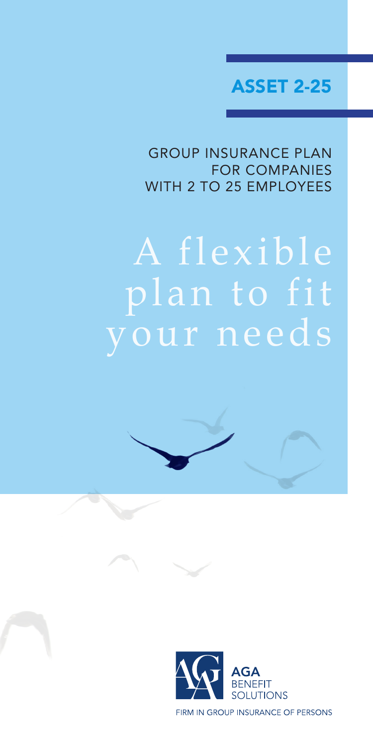ASSET 2-25

GROUP INSURANCE PLAN FOR COMPANIES WITH 2 TO 25 EMPLOYEES

# A flexible plan to fit your needs



FIRM IN GROUP INSURANCE OF PERSONS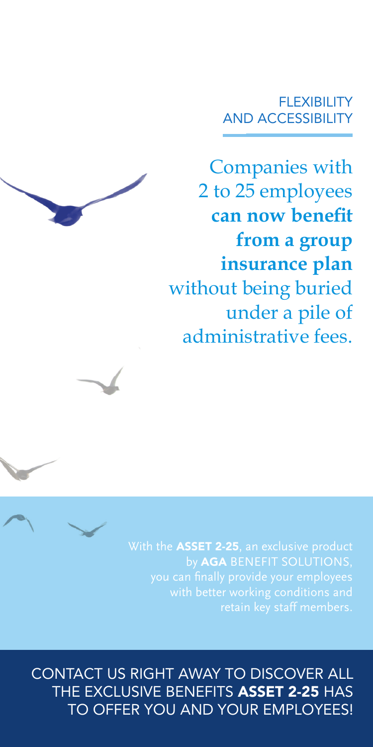### **FLEXIBILITY** AND ACCESSIBILITY

Companies with 2 to 25 employees **can now benefit from a group insurance plan**  without being buried under a pile of administrative fees.



CONTACT US RIGHT AWAY TO DISCOVER ALL THE EXCLUSIVE BENEFITS ASSET 2-25 HAS TO OFFER YOU AND YOUR EMPLOYEES!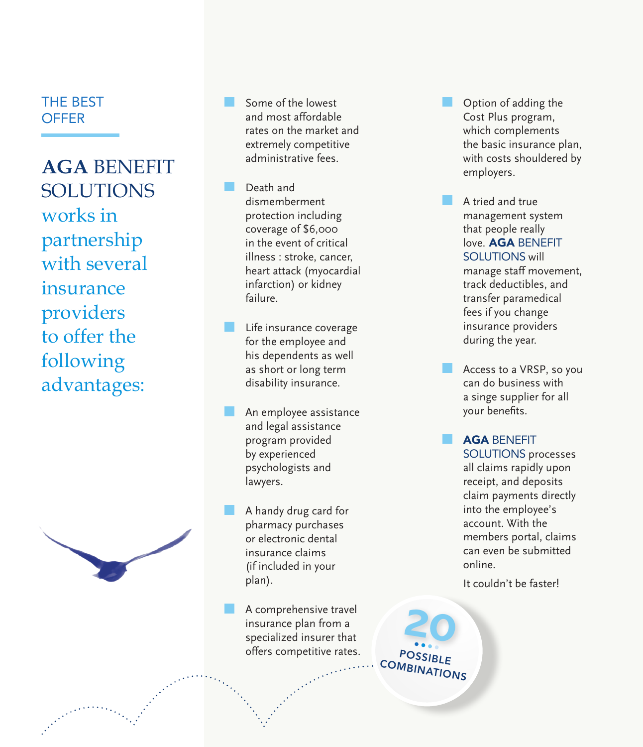### THE BEST **OFFER**

**AGA** BENEFIT SOLUTIONS works in partnership with several insurance providers to offer the following advantages:



Some of the lowest and most affordable rates on the market and extremely competitive administrative fees.

Death and dismemberment protection including coverage of \$6,000 in the event of critical illness : stroke, cancer, heart attack (myocardial infarction) or kidney failure.

Life insurance coverage for the employee and his dependents as well as short or long term disability insurance.

An employee assistance and legal assistance program provided by experienced psychologists and lawyers.

A handy drug card for pharmacy purchases or electronic dental insurance claims (if included in your plan).

A comprehensive travel insurance plan from a specialized insurer that offers competitive rates. Option of adding the Cost Plus program, which complements the basic insurance plan, with costs shouldered by employers.

A tried and true management system that people really love. AGA BENEFIT SOLUTIONS will manage staff movement, track deductibles, and transfer paramedical fees if you change insurance providers during the year.

Access to a VRSP, so you can do business with a singe supplier for all your benefits.

AGA BENEFIT SOLUTIONS processes all claims rapidly upon receipt, and deposits claim payments directly into the employee's account. With the members portal, claims can even be submitted online.

It couldn't be faster!

POSSIBLE **COMBINATIONS 20**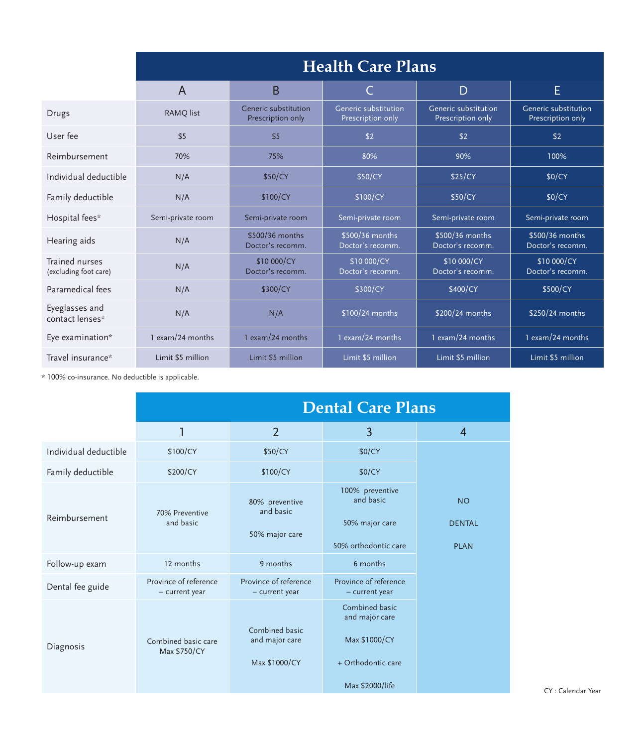|                                         | <b>Health Care Plans</b> |                                           |                                           |                                           |                                           |  |
|-----------------------------------------|--------------------------|-------------------------------------------|-------------------------------------------|-------------------------------------------|-------------------------------------------|--|
|                                         | A                        | B                                         |                                           | D                                         | E                                         |  |
| <b>Drugs</b>                            | <b>RAMO</b> list         | Generic substitution<br>Prescription only | Generic substitution<br>Prescription only | Generic substitution<br>Prescription only | Generic substitution<br>Prescription only |  |
| User fee                                | \$5                      | \$5                                       | \$2                                       | \$2                                       | \$2                                       |  |
| Reimbursement                           | 70%                      | 75%                                       | 80%                                       | 90%                                       | 100%                                      |  |
| Individual deductible                   | N/A                      | \$50/CY                                   | \$50/CY                                   | \$25/CY                                   | \$0/CY                                    |  |
| Family deductible                       | N/A                      | \$100/CY                                  | \$100/CY                                  | \$50/CY                                   | \$0/CY                                    |  |
| Hospital fees*                          | Semi-private room        | Semi-private room                         | Semi-private room                         | Semi-private room                         | Semi-private room                         |  |
| Hearing aids                            | N/A                      | \$500/36 months<br>Doctor's recomm.       | \$500/36 months<br>Doctor's recomm.       | \$500/36 months<br>Doctor's recomm.       | \$500/36 months<br>Doctor's recomm.       |  |
| Trained nurses<br>(excluding foot care) | N/A                      | \$10 000/CY<br>Doctor's recomm.           | \$10 000/CY<br>Doctor's recomm.           | \$10 000/CY<br>Doctor's recomm.           | \$10 000/CY<br>Doctor's recomm.           |  |
| Paramedical fees                        | N/A                      | \$300/CY                                  | \$300/CY                                  | \$400/CY                                  | \$500/CY                                  |  |
| Eyeglasses and<br>contact lenses*       | N/A                      | N/A                                       | \$100/24 months                           | \$200/24 months                           | \$250/24 months                           |  |
| Eye examination*                        | 1 exam/24 months         | 1 exam/24 months                          | $1$ exam/24 months                        | 1 exam/24 months                          | 1 exam/24 months                          |  |
| Travel insurance*                       | Limit \$5 million        | Limit \$5 million                         | Limit \$5 million                         | Limit \$5 million                         | Limit \$5 million                         |  |

 $*$  100% co-insurance. No deductible is applicable.

|                       | <b>Dental Care Plans</b>                |                                                   |                                                                                            |                                           |  |
|-----------------------|-----------------------------------------|---------------------------------------------------|--------------------------------------------------------------------------------------------|-------------------------------------------|--|
|                       | 1                                       | $\overline{2}$                                    | 3                                                                                          | $\overline{4}$                            |  |
| Individual deductible | \$100/CY                                | \$50/CY                                           | \$0/CY                                                                                     |                                           |  |
| Family deductible     | \$200/CY                                | \$100/CY                                          | \$0/CY                                                                                     |                                           |  |
| Reimbursement         | 70% Preventive<br>and basic             | 80% preventive<br>and basic<br>50% major care     | 100% preventive<br>and basic<br>50% major care<br>50% orthodontic care                     | <b>NO</b><br><b>DENTAL</b><br><b>PLAN</b> |  |
| Follow-up exam        | 12 months                               | 9 months                                          | 6 months                                                                                   |                                           |  |
| Dental fee guide      | Province of reference<br>- current year | Province of reference<br>- current year           | Province of reference<br>- current year                                                    |                                           |  |
| Diagnosis             | Combined basic care<br>Max \$750/CY     | Combined basic<br>and major care<br>Max \$1000/CY | Combined basic<br>and major care<br>Max \$1000/CY<br>+ Orthodontic care<br>Max \$2000/life |                                           |  |